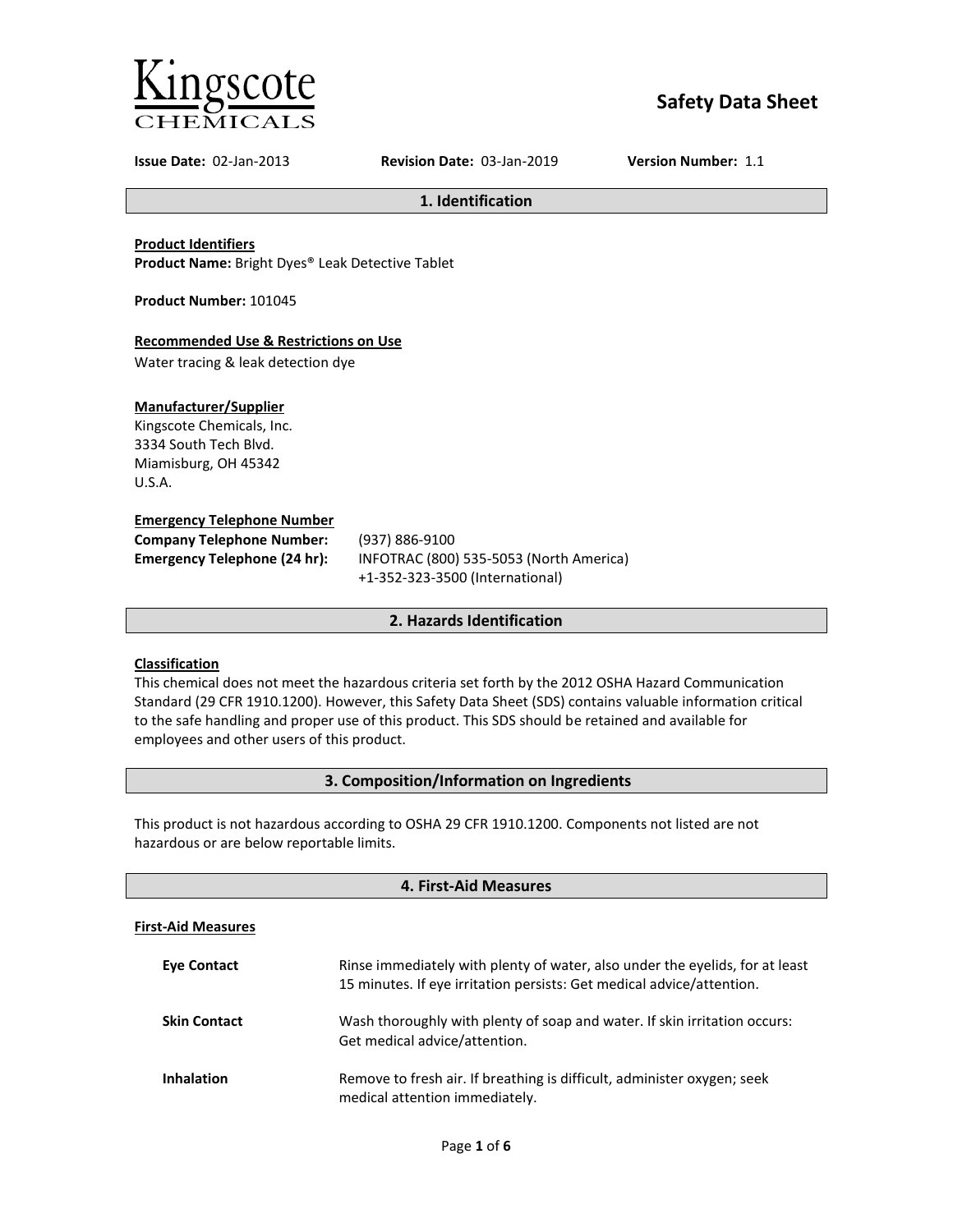

# **Safety Data Sheet**

**Issue Date:** 02-Jan-2013 **Revision Date:** 03-Jan-2019 **Version Number:** 1.1

**1. Identification**

**Product Identifiers**

**Product Name:** Bright Dyes® Leak Detective Tablet

**Product Number:** 101045

# **Recommended Use & Restrictions on Use**

Water tracing & leak detection dye

# **Manufacturer/Supplier**

Kingscote Chemicals, Inc. 3334 South Tech Blvd. Miamisburg, OH 45342 U.S.A.

# **Emergency Telephone Number**

| <b>Company Telephone Number:</b> | (93)            |
|----------------------------------|-----------------|
| Emergency Telephone (24 hr):     | IN <sub>F</sub> |
|                                  |                 |

**Company Telephone Number:** (937) 886-9100 **Emergency Telephone (24 hr):** INFOTRAC (800) 535-5053 (North America) +1-352-323-3500 (International)

# **2. Hazards Identification**

# **Classification**

This chemical does not meet the hazardous criteria set forth by the 2012 OSHA Hazard Communication Standard (29 CFR 1910.1200). However, this Safety Data Sheet (SDS) contains valuable information critical to the safe handling and proper use of this product. This SDS should be retained and available for employees and other users of this product.

# **3. Composition/Information on Ingredients**

This product is not hazardous according to OSHA 29 CFR 1910.1200. Components not listed are not hazardous or are below reportable limits.

| 4. First-Aid Measures     |                                                                                                                                                       |  |  |
|---------------------------|-------------------------------------------------------------------------------------------------------------------------------------------------------|--|--|
| <b>First-Aid Measures</b> |                                                                                                                                                       |  |  |
| <b>Eve Contact</b>        | Rinse immediately with plenty of water, also under the eyelids, for at least<br>15 minutes. If eye irritation persists: Get medical advice/attention. |  |  |
| <b>Skin Contact</b>       | Wash thoroughly with plenty of soap and water. If skin irritation occurs:<br>Get medical advice/attention.                                            |  |  |
| <b>Inhalation</b>         | Remove to fresh air. If breathing is difficult, administer oxygen; seek<br>medical attention immediately.                                             |  |  |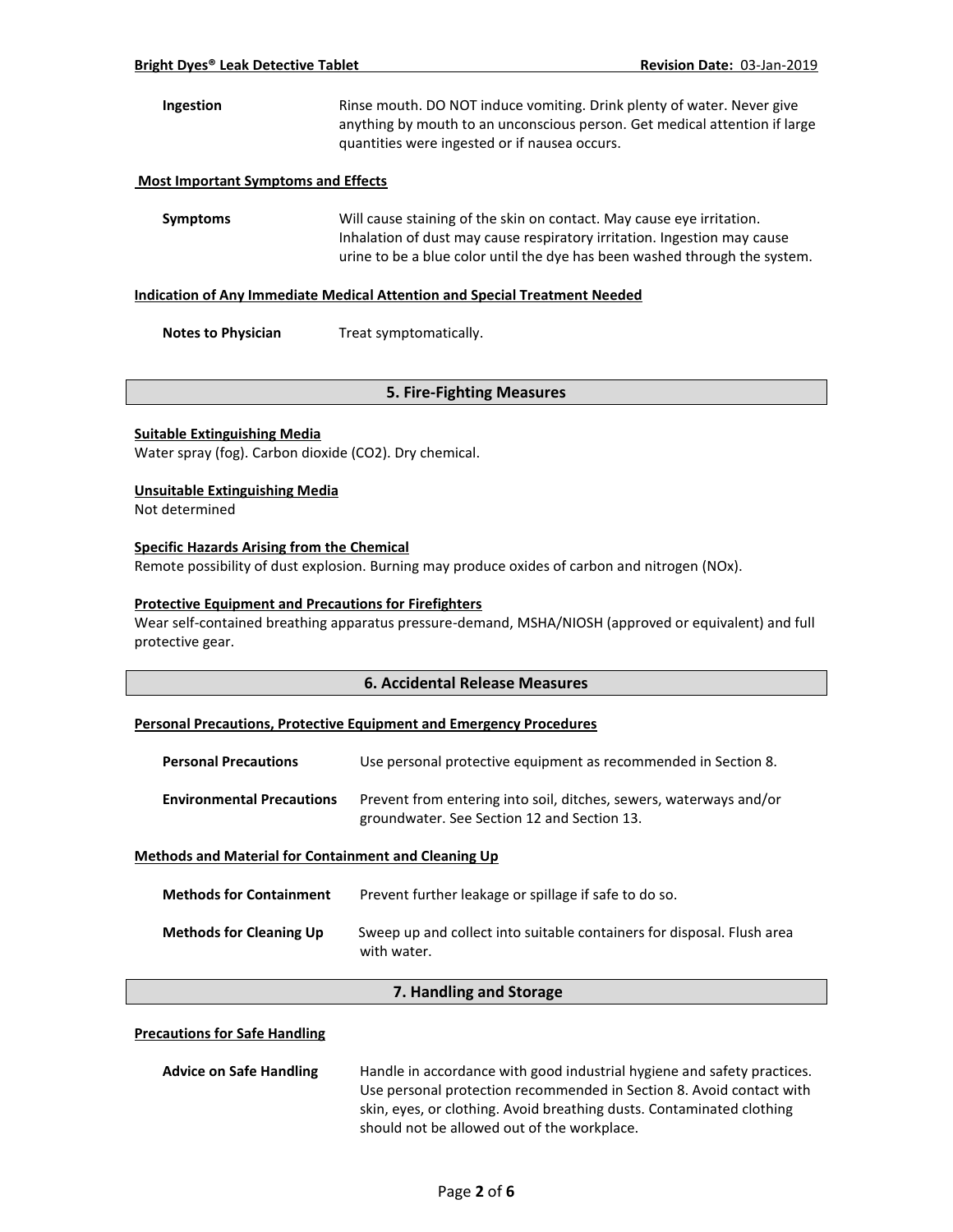# **Ingestion** Rinse mouth. DO NOT induce vomiting. Drink plenty of water. Never give anything by mouth to an unconscious person. Get medical attention if large quantities were ingested or if nausea occurs.

#### **Most Important Symptoms and Effects**

**Symptoms** Will cause staining of the skin on contact. May cause eye irritation. Inhalation of dust may cause respiratory irritation. Ingestion may cause urine to be a blue color until the dye has been washed through the system.

#### **Indication of Any Immediate Medical Attention and Special Treatment Needed**

**Notes to Physician** Treat symptomatically.

# **5. Fire-Fighting Measures**

#### **Suitable Extinguishing Media**

Water spray (fog). Carbon dioxide (CO2). Dry chemical.

#### **Unsuitable Extinguishing Media**

Not determined

#### **Specific Hazards Arising from the Chemical**

Remote possibility of dust explosion. Burning may produce oxides of carbon and nitrogen (NOx).

#### **Protective Equipment and Precautions for Firefighters**

Wear self-contained breathing apparatus pressure-demand, MSHA/NIOSH (approved or equivalent) and full protective gear.

### **6. Accidental Release Measures**

#### **Personal Precautions, Protective Equipment and Emergency Procedures**

| <b>Personal Precautions</b>      | Use personal protective equipment as recommended in Section 8.                                                    |
|----------------------------------|-------------------------------------------------------------------------------------------------------------------|
| <b>Environmental Precautions</b> | Prevent from entering into soil, ditches, sewers, waterways and/or<br>groundwater. See Section 12 and Section 13. |

#### **Methods and Material for Containment and Cleaning Up**

| <b>Methods for Containment</b> | Prevent further leakage or spillage if safe to do so.                                 |
|--------------------------------|---------------------------------------------------------------------------------------|
| <b>Methods for Cleaning Up</b> | Sweep up and collect into suitable containers for disposal. Flush area<br>with water. |

# **7. Handling and Storage**

#### **Precautions for Safe Handling**

| <b>Advice on Safe Handling</b> | Handle in accordance with good industrial hygiene and safety practices. |  |
|--------------------------------|-------------------------------------------------------------------------|--|
|                                | Use personal protection recommended in Section 8. Avoid contact with    |  |
|                                | skin, eyes, or clothing. Avoid breathing dusts. Contaminated clothing   |  |
|                                | should not be allowed out of the workplace.                             |  |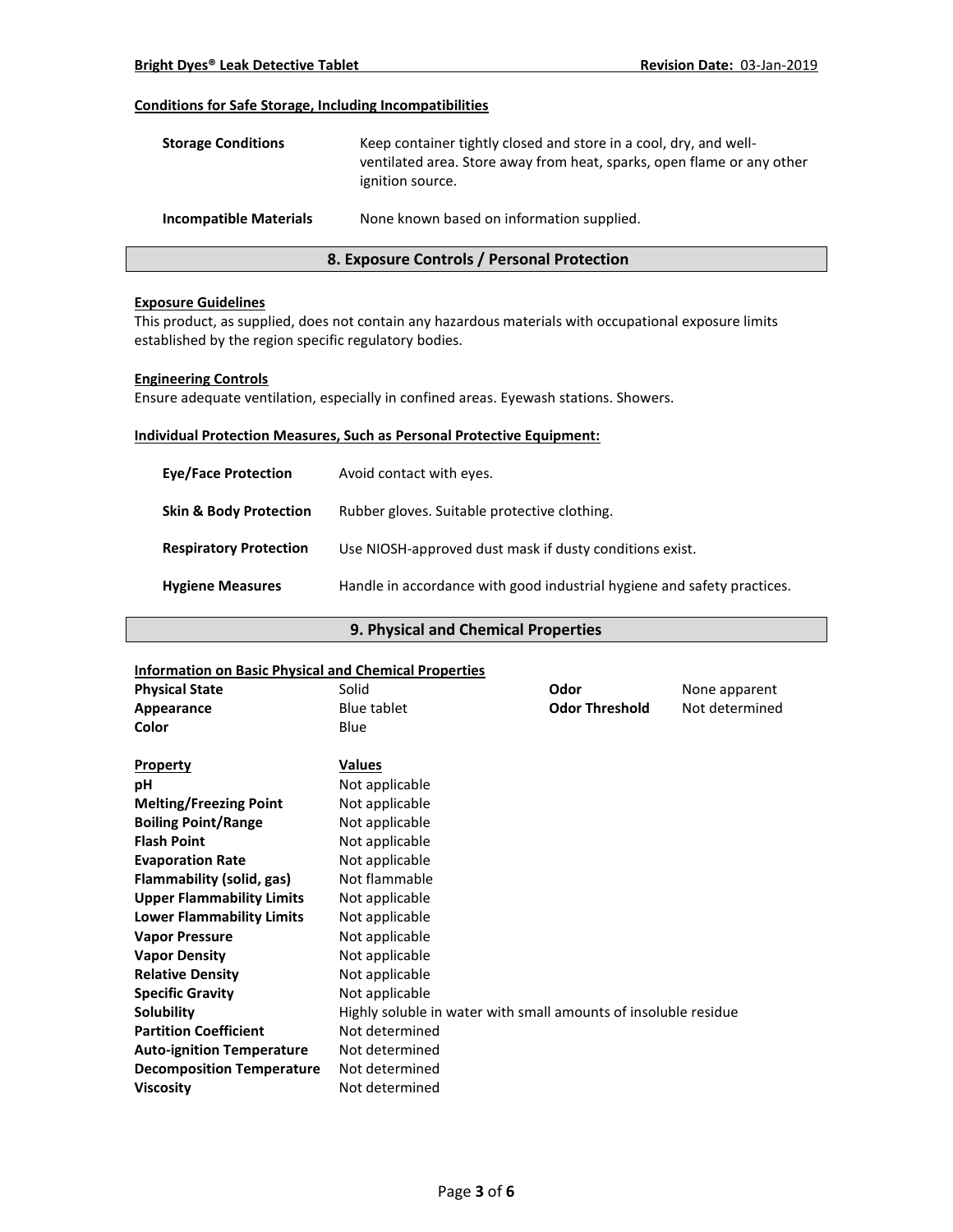### **Conditions for Safe Storage, Including Incompatibilities**

| <b>Storage Conditions</b>     | Keep container tightly closed and store in a cool, dry, and well-<br>ventilated area. Store away from heat, sparks, open flame or any other<br>ignition source. |
|-------------------------------|-----------------------------------------------------------------------------------------------------------------------------------------------------------------|
| <b>Incompatible Materials</b> | None known based on information supplied.                                                                                                                       |

# **8. Exposure Controls / Personal Protection**

#### **Exposure Guidelines**

This product, as supplied, does not contain any hazardous materials with occupational exposure limits established by the region specific regulatory bodies.

### **Engineering Controls**

Ensure adequate ventilation, especially in confined areas. Eyewash stations. Showers.

### **Individual Protection Measures, Such as Personal Protective Equipment:**

| <b>Eve/Face Protection</b>        | Avoid contact with eyes.                                                |
|-----------------------------------|-------------------------------------------------------------------------|
| <b>Skin &amp; Body Protection</b> | Rubber gloves. Suitable protective clothing.                            |
| <b>Respiratory Protection</b>     | Use NIOSH-approved dust mask if dusty conditions exist.                 |
| <b>Hygiene Measures</b>           | Handle in accordance with good industrial hygiene and safety practices. |

# **9. Physical and Chemical Properties**

# **Information on Basic Physical and Chemical Properties Physical State Collection Solid Collection Solid Collection Collection Collection Area Proportional Collection Area Proportion Collection Area Proportion Area Proportion Area Proportion Area Proportion Area Proporti Appearance** Blue tablet **Odor Threshold** Not determined **Color** Blue **Property Values pH** Not applicable **Melting/Freezing Point** Not applicable **Boiling Point/Range** Not applicable **Flash Point** Not applicable **Evaporation Rate Not applicable Flammability (solid, gas)** Not flammable **Upper Flammability Limits** Not applicable **Lower Flammability Limits** Not applicable **Vapor Pressure** Not applicable **Vapor Density** Not applicable **Relative Density Not applicable Specific Gravity** Not applicable **Solubility Highly soluble in water with small amounts of insoluble residue Partition Coefficient** Not determined Auto-ignition Temperature Not determined **Decomposition Temperature** Not determined **Viscosity** Not determined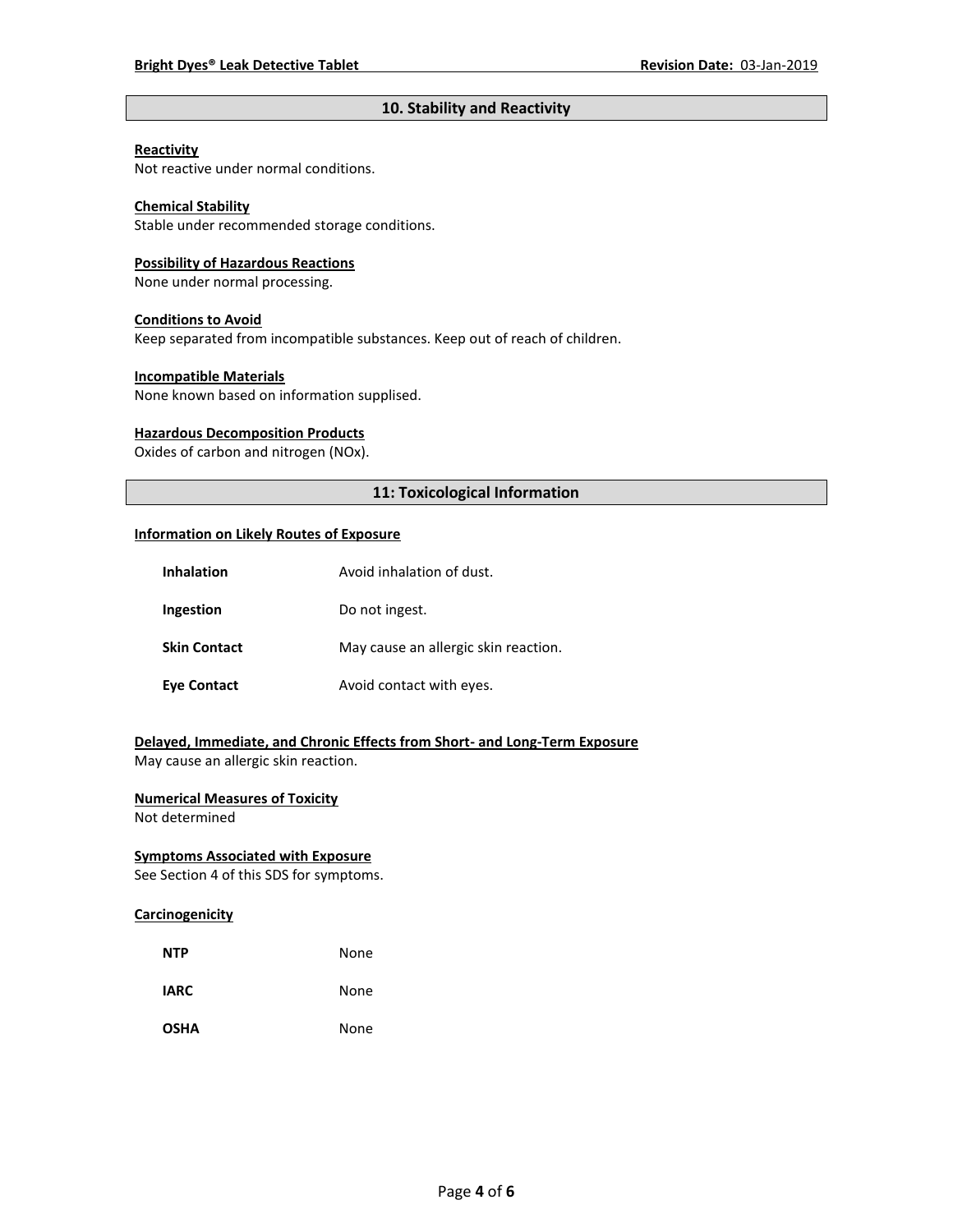# **10. Stability and Reactivity**

#### **Reactivity**

Not reactive under normal conditions.

# **Chemical Stability**

Stable under recommended storage conditions.

#### **Possibility of Hazardous Reactions**

None under normal processing.

#### **Conditions to Avoid**

Keep separated from incompatible substances. Keep out of reach of children.

#### **Incompatible Materials**

None known based on information supplised.

#### **Hazardous Decomposition Products**

Oxides of carbon and nitrogen (NOx).

# **11: Toxicological Information**

#### **Information on Likely Routes of Exposure**

| Inhalation          | Avoid inhalation of dust.            |
|---------------------|--------------------------------------|
| Ingestion           | Do not ingest.                       |
| <b>Skin Contact</b> | May cause an allergic skin reaction. |
| <b>Eye Contact</b>  | Avoid contact with eyes.             |

# **Delayed, Immediate, and Chronic Effects from Short- and Long-Term Exposure**

May cause an allergic skin reaction.

# **Numerical Measures of Toxicity**

Not determined

# **Symptoms Associated with Exposure**

See Section 4 of this SDS for symptoms.

# **Carcinogenicity**

| <b>NTP</b>  | None |
|-------------|------|
| <b>IARC</b> | None |
| <b>OSHA</b> | None |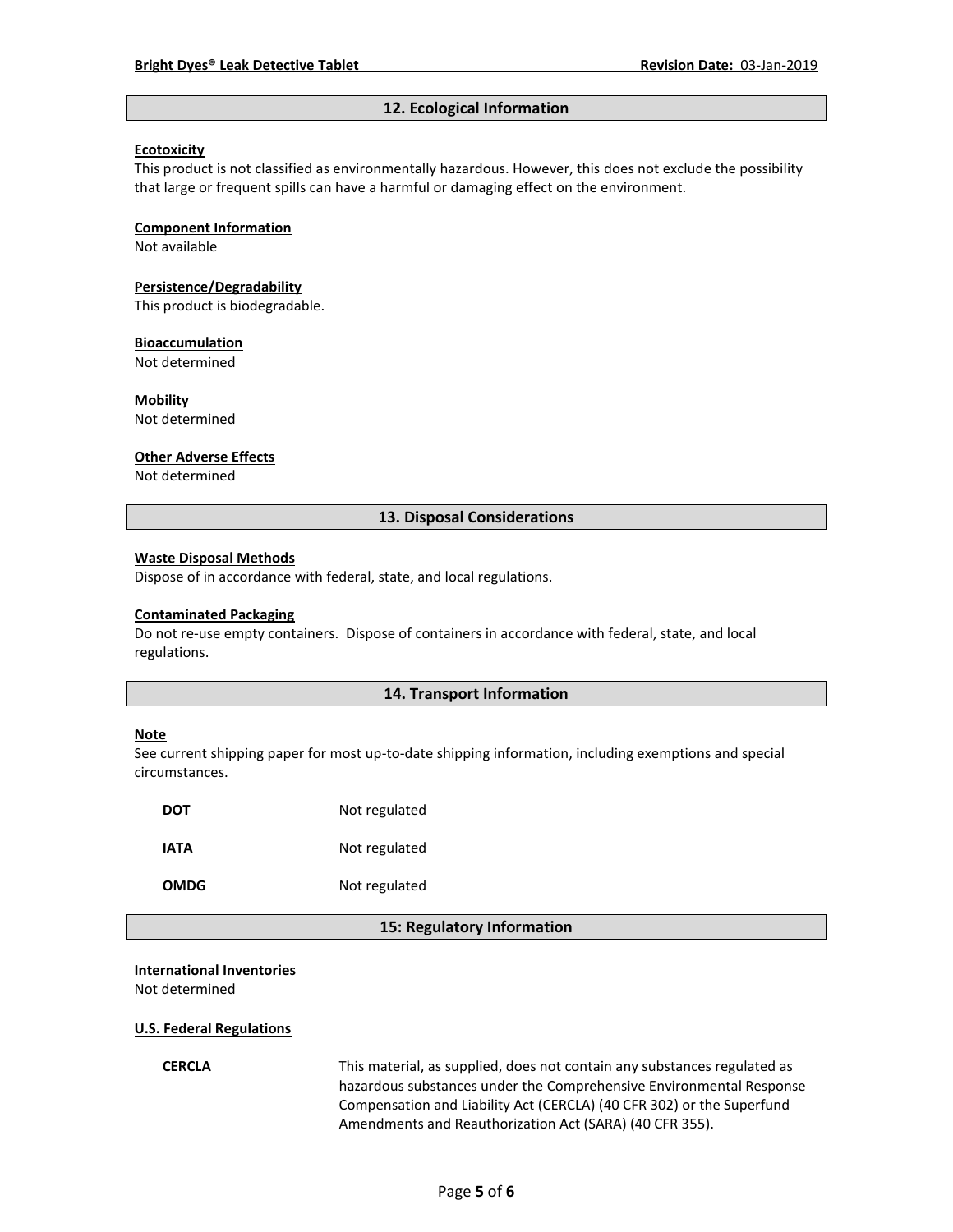#### **12. Ecological Information**

#### **Ecotoxicity**

This product is not classified as environmentally hazardous. However, this does not exclude the possibility that large or frequent spills can have a harmful or damaging effect on the environment.

#### **Component Information**

Not available

# **Persistence/Degradability**

This product is biodegradable.

#### **Bioaccumulation**

Not determined

#### **Mobility**

Not determined

#### **Other Adverse Effects**

Not determined

### **13. Disposal Considerations**

#### **Waste Disposal Methods**

Dispose of in accordance with federal, state, and local regulations.

#### **Contaminated Packaging**

Do not re-use empty containers.Dispose of containers in accordance with federal, state, and local regulations.

## **14. Transport Information**

#### **Note**

See current shipping paper for most up-to-date shipping information, including exemptions and special circumstances.

| DOT  | Not regulated |
|------|---------------|
| IATA | Not regulated |
| OMDG | Not regulated |

### **15: Regulatory Information**

#### **International Inventories**

Not determined

#### **U.S. Federal Regulations**

**CERCLA** This material, as supplied, does not contain any substances regulated as hazardous substances under the Comprehensive Environmental Response Compensation and Liability Act (CERCLA) (40 CFR 302) or the Superfund Amendments and Reauthorization Act (SARA) (40 CFR 355).